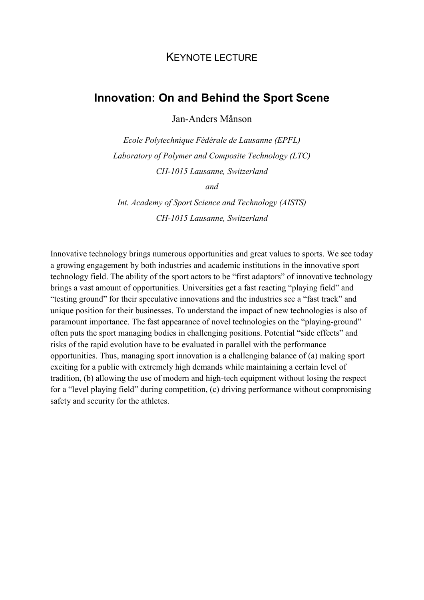### KEYNOTE LECTURE

### **Innovation: On and Behind the Sport Scene**

Jan-Anders Månson

*Ecole Polytechnique Fédérale de Lausanne (EPFL) Laboratory of Polymer and Composite Technology (LTC) CH-1015 Lausanne, Switzerland*

*and*

*Int. Academy of Sport Science and Technology (AISTS) CH-1015 Lausanne, Switzerland*

Innovative technology brings numerous opportunities and great values to sports. We see today a growing engagement by both industries and academic institutions in the innovative sport technology field. The ability of the sport actors to be "first adaptors" of innovative technology brings a vast amount of opportunities. Universities get a fast reacting "playing field" and "testing ground" for their speculative innovations and the industries see a "fast track" and unique position for their businesses. To understand the impact of new technologies is also of paramount importance. The fast appearance of novel technologies on the "playing-ground" often puts the sport managing bodies in challenging positions. Potential "side effects" and risks of the rapid evolution have to be evaluated in parallel with the performance opportunities. Thus, managing sport innovation is a challenging balance of (a) making sport exciting for a public with extremely high demands while maintaining a certain level of tradition, (b) allowing the use of modern and high-tech equipment without losing the respect for a "level playing field" during competition, (c) driving performance without compromising safety and security for the athletes.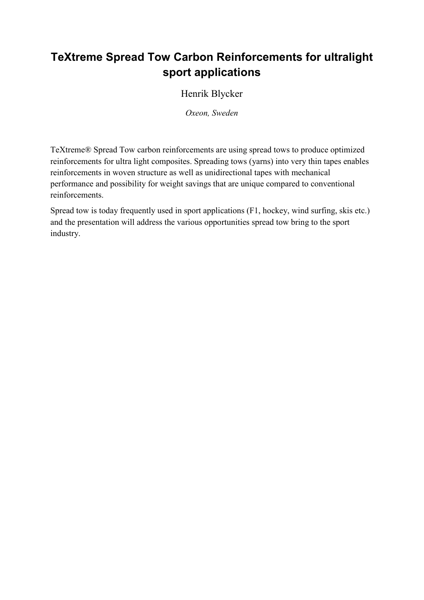# **TeXtreme Spread Tow Carbon Reinforcements for ultralight sport applications**

Henrik Blycker

*Oxeon, Sweden*

TeXtreme® Spread Tow carbon reinforcements are using spread tows to produce optimized reinforcements for ultra light composites. Spreading tows (yarns) into very thin tapes enables reinforcements in woven structure as well as unidirectional tapes with mechanical performance and possibility for weight savings that are unique compared to conventional reinforcements.

Spread tow is today frequently used in sport applications (F1, hockey, wind surfing, skis etc.) and the presentation will address the various opportunities spread tow bring to the sport industry.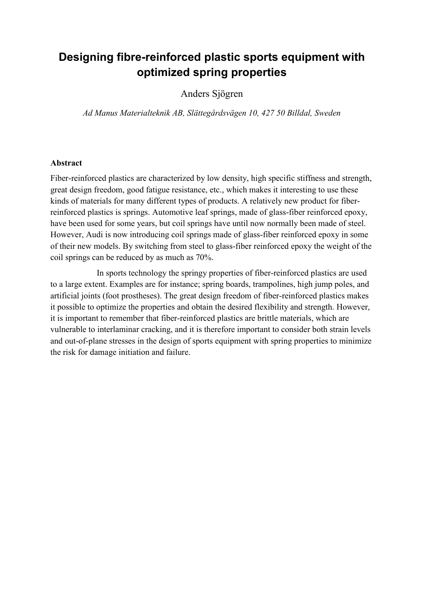# **Designing fibre-reinforced plastic sports equipment with optimized spring properties**

Anders Sjögren

*Ad Manus Materialteknik AB, Slättegårdsvägen 10, 427 50 Billdal, Sweden*

#### **Abstract**

Fiber-reinforced plastics are characterized by low density, high specific stiffness and strength, great design freedom, good fatigue resistance, etc., which makes it interesting to use these kinds of materials for many different types of products. A relatively new product for fiberreinforced plastics is springs. Automotive leaf springs, made of glass-fiber reinforced epoxy, have been used for some years, but coil springs have until now normally been made of steel. However, Audi is now introducing coil springs made of glass-fiber reinforced epoxy in some of their new models. By switching from steel to glass-fiber reinforced epoxy the weight of the coil springs can be reduced by as much as 70%.

In sports technology the springy properties of fiber-reinforced plastics are used to a large extent. Examples are for instance; spring boards, trampolines, high jump poles, and artificial joints (foot prostheses). The great design freedom of fiber-reinforced plastics makes it possible to optimize the properties and obtain the desired flexibility and strength. However, it is important to remember that fiber-reinforced plastics are brittle materials, which are vulnerable to interlaminar cracking, and it is therefore important to consider both strain levels and out-of-plane stresses in the design of sports equipment with spring properties to minimize the risk for damage initiation and failure.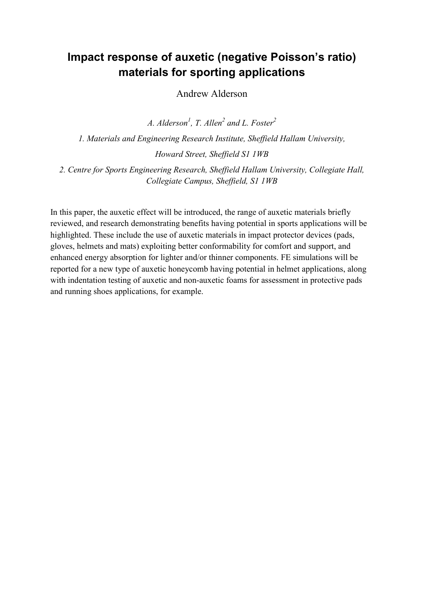# **Impact response of auxetic (negative Poisson's ratio) materials for sporting applications**

Andrew Alderson

*A. Alderson1 , T. Allen2 and L. Foster<sup>2</sup>*

*1. Materials and Engineering Research Institute, Sheffield Hallam University, Howard Street, Sheffield S1 1WB*

*2. Centre for Sports Engineering Research, Sheffield Hallam University, Collegiate Hall, Collegiate Campus, Sheffield, S1 1WB*

In this paper, the auxetic effect will be introduced, the range of auxetic materials briefly reviewed, and research demonstrating benefits having potential in sports applications will be highlighted. These include the use of auxetic materials in impact protector devices (pads, gloves, helmets and mats) exploiting better conformability for comfort and support, and enhanced energy absorption for lighter and/or thinner components. FE simulations will be reported for a new type of auxetic honeycomb having potential in helmet applications, along with indentation testing of auxetic and non-auxetic foams for assessment in protective pads and running shoes applications, for example.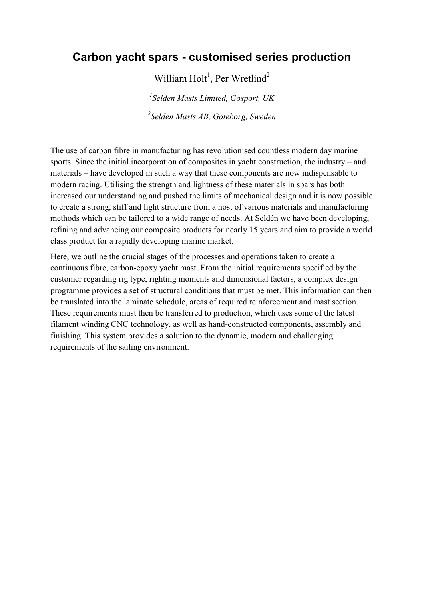### **Carbon yacht spars - customised series production**

William  $Holt<sup>1</sup>$ , Per Wretlind<sup>2</sup>

*1 Selden Masts Limited, Gosport, UK 2 Selden Masts AB, Göteborg, Sweden*

The use of carbon fibre in manufacturing has revolutionised countless modern day marine sports. Since the initial incorporation of composites in yacht construction, the industry – and materials – have developed in such a way that these components are now indispensable to modern racing. Utilising the strength and lightness of these materials in spars has both increased our understanding and pushed the limits of mechanical design and it is now possible to create a strong, stiff and light structure from a host of various materials and manufacturing methods which can be tailored to a wide range of needs. At Seldén we have been developing, refining and advancing our composite products for nearly 15 years and aim to provide a world class product for a rapidly developing marine market.

Here, we outline the crucial stages of the processes and operations taken to create a continuous fibre, carbon-epoxy yacht mast. From the initial requirements specified by the customer regarding rig type, righting moments and dimensional factors, a complex design programme provides a set of structural conditions that must be met. This information can then be translated into the laminate schedule, areas of required reinforcement and mast section. These requirements must then be transferred to production, which uses some of the latest filament winding CNC technology, as well as hand-constructed components, assembly and finishing. This system provides a solution to the dynamic, modern and challenging requirements of the sailing environment.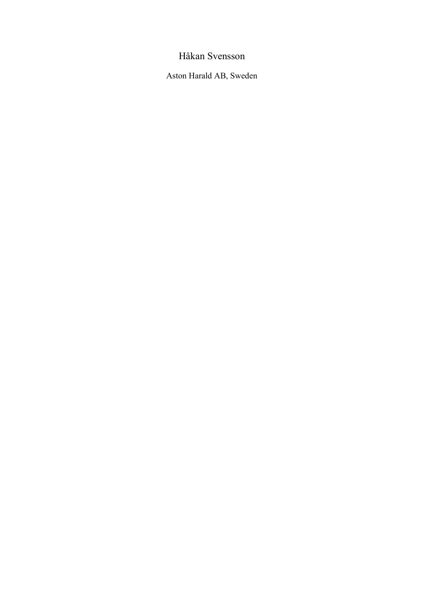## Håkan Svensson

Aston Harald AB, Sweden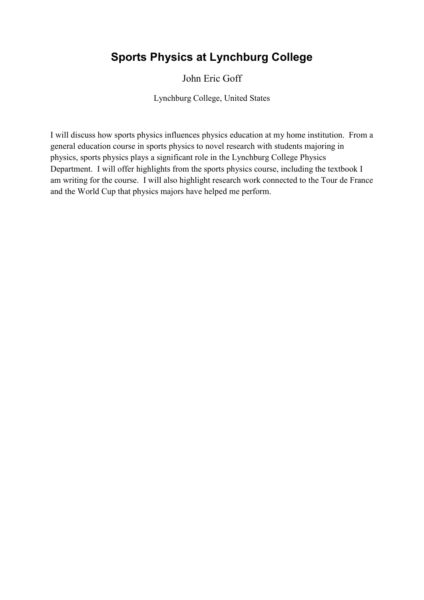# **Sports Physics at Lynchburg College**

John Eric Goff

Lynchburg College, United States

I will discuss how sports physics influences physics education at my home institution. From a general education course in sports physics to novel research with students majoring in physics, sports physics plays a significant role in the Lynchburg College Physics Department. I will offer highlights from the sports physics course, including the textbook I am writing for the course. I will also highlight research work connected to the Tour de France and the World Cup that physics majors have helped me perform.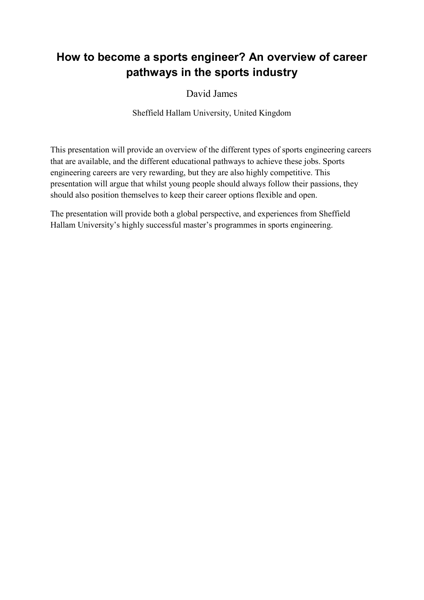# **How to become a sports engineer? An overview of career pathways in the sports industry**

David James

Sheffield Hallam University, United Kingdom

This presentation will provide an overview of the different types of sports engineering careers that are available, and the different educational pathways to achieve these jobs. Sports engineering careers are very rewarding, but they are also highly competitive. This presentation will argue that whilst young people should always follow their passions, they should also position themselves to keep their career options flexible and open.

The presentation will provide both a global perspective, and experiences from Sheffield Hallam University's highly successful master's programmes in sports engineering.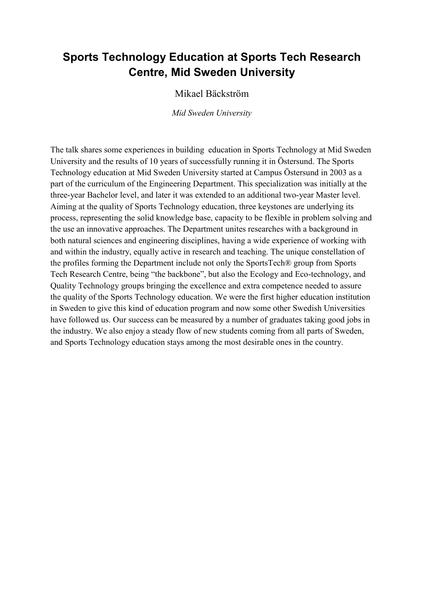# **Sports Technology Education at Sports Tech Research Centre, Mid Sweden University**

Mikael Bäckström

*Mid Sweden University*

The talk shares some experiences in building education in Sports Technology at Mid Sweden University and the results of 10 years of successfully running it in Östersund. The Sports Technology education at Mid Sweden University started at Campus Östersund in 2003 as a part of the curriculum of the Engineering Department. This specialization was initially at the three-year Bachelor level, and later it was extended to an additional two-year Master level. Aiming at the quality of Sports Technology education, three keystones are underlying its process, representing the solid knowledge base, capacity to be flexible in problem solving and the use an innovative approaches. The Department unites researches with a background in both natural sciences and engineering disciplines, having a wide experience of working with and within the industry, equally active in research and teaching. The unique constellation of the profiles forming the Department include not only the SportsTech® group from Sports Tech Research Centre, being "the backbone", but also the Ecology and Eco-technology, and Quality Technology groups bringing the excellence and extra competence needed to assure the quality of the Sports Technology education. We were the first higher education institution in Sweden to give this kind of education program and now some other Swedish Universities have followed us. Our success can be measured by a number of graduates taking good jobs in the industry. We also enjoy a steady flow of new students coming from all parts of Sweden, and Sports Technology education stays among the most desirable ones in the country.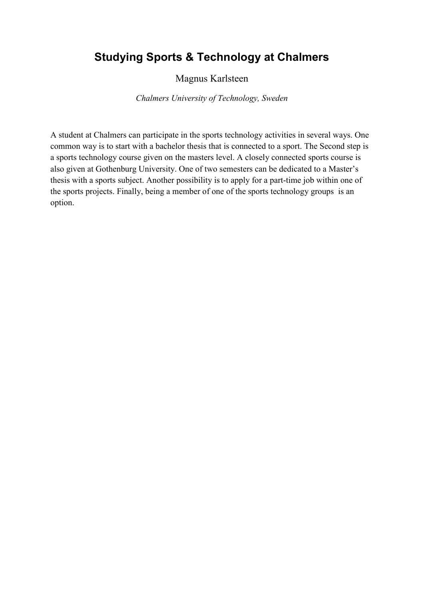# **Studying Sports & Technology at Chalmers**

Magnus Karlsteen

*Chalmers University of Technology, Sweden*

A student at Chalmers can participate in the sports technology activities in several ways. One common way is to start with a bachelor thesis that is connected to a sport. The Second step is a sports technology course given on the masters level. A closely connected sports course is also given at Gothenburg University. One of two semesters can be dedicated to a Master's thesis with a sports subject. Another possibility is to apply for a part-time job within one of the sports projects. Finally, being a member of one of the sports technology groups is an option.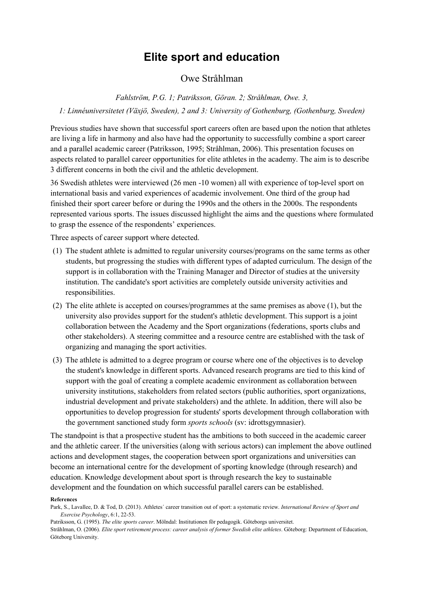### **Elite sport and education**

### Owe Stråhlman

*Fahlström, P.G. 1; Patriksson, Göran. 2; Stråhlman, Owe. 3,*

#### *1: Linnéuniversitetet (Växjö, Sweden), 2 and 3: University of Gothenburg, (Gothenburg, Sweden)*

Previous studies have shown that successful sport careers often are based upon the notion that athletes are living a life in harmony and also have had the opportunity to successfully combine a sport career and a parallel academic career (Patriksson, 1995; Stråhlman, 2006). This presentation focuses on aspects related to parallel career opportunities for elite athletes in the academy. The aim is to describe 3 different concerns in both the civil and the athletic development.

36 Swedish athletes were interviewed (26 men -10 women) all with experience of top-level sport on international basis and varied experiences of academic involvement. One third of the group had finished their sport career before or during the 1990s and the others in the 2000s. The respondents represented various sports. The issues discussed highlight the aims and the questions where formulated to grasp the essence of the respondents' experiences.

Three aspects of career support where detected.

- (1) The student athlete is admitted to regular university courses/programs on the same terms as other students, but progressing the studies with different types of adapted curriculum. The design of the support is in collaboration with the Training Manager and Director of studies at the university institution. The candidate's sport activities are completely outside university activities and responsibilities.
- (2) The elite athlete is accepted on courses/programmes at the same premises as above (1), but the university also provides support for the student's athletic development. This support is a joint collaboration between the Academy and the Sport organizations (federations, sports clubs and other stakeholders). A steering committee and a resource centre are established with the task of organizing and managing the sport activities.
- (3) The athlete is admitted to a degree program or course where one of the objectives is to develop the student's knowledge in different sports. Advanced research programs are tied to this kind of support with the goal of creating a complete academic environment as collaboration between university institutions, stakeholders from related sectors (public authorities, sport organizations, industrial development and private stakeholders) and the athlete. In addition, there will also be opportunities to develop progression for students' sports development through collaboration with the government sanctioned study form *sports schools* (sv: idrottsgymnasier).

The standpoint is that a prospective student has the ambitions to both succeed in the academic career and the athletic career. If the universities (along with serious actors) can implement the above outlined actions and development stages, the cooperation between sport organizations and universities can become an international centre for the development of sporting knowledge (through research) and education. Knowledge development about sport is through research the key to sustainable development and the foundation on which successful parallel carers can be established.

#### **References**

Park, S., Lavallee, D. & Tod, D. (2013). Athletes´ career transition out of sport: a systematic review. *International Review of Sport and Exercise Psychology*, 6:1, 22-53.

Patriksson, G. (1995). *The elite sports career*. Mölndal: Institutionen för pedagogik. Göteborgs universitet.

Stråhlman, O. (2006). *Elite sport retirement process: career analysis of former Swedish elite athletes*. Göteborg: Department of Education, Göteborg University.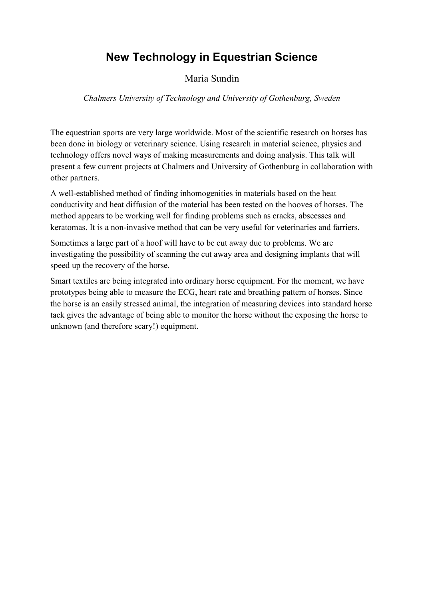# **New Technology in Equestrian Science**

### Maria Sundin

### *Chalmers University of Technology and University of Gothenburg, Sweden*

The equestrian sports are very large worldwide. Most of the scientific research on horses has been done in biology or veterinary science. Using research in material science, physics and technology offers novel ways of making measurements and doing analysis. This talk will present a few current projects at Chalmers and University of Gothenburg in collaboration with other partners.

A well-established method of finding inhomogenities in materials based on the heat conductivity and heat diffusion of the material has been tested on the hooves of horses. The method appears to be working well for finding problems such as cracks, abscesses and keratomas. It is a non-invasive method that can be very useful for veterinaries and farriers.

Sometimes a large part of a hoof will have to be cut away due to problems. We are investigating the possibility of scanning the cut away area and designing implants that will speed up the recovery of the horse.

Smart textiles are being integrated into ordinary horse equipment. For the moment, we have prototypes being able to measure the ECG, heart rate and breathing pattern of horses. Since the horse is an easily stressed animal, the integration of measuring devices into standard horse tack gives the advantage of being able to monitor the horse without the exposing the horse to unknown (and therefore scary!) equipment.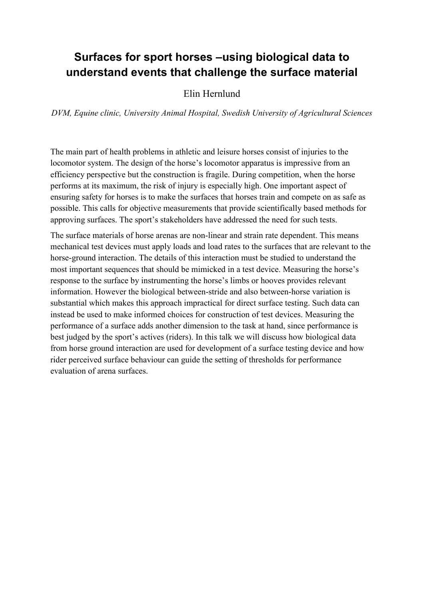# **Surfaces for sport horses –using biological data to understand events that challenge the surface material**

### Elin Hernlund

*DVM, Equine clinic, University Animal Hospital, Swedish University of Agricultural Sciences*

The main part of health problems in athletic and leisure horses consist of injuries to the locomotor system. The design of the horse's locomotor apparatus is impressive from an efficiency perspective but the construction is fragile. During competition, when the horse performs at its maximum, the risk of injury is especially high. One important aspect of ensuring safety for horses is to make the surfaces that horses train and compete on as safe as possible. This calls for objective measurements that provide scientifically based methods for approving surfaces. The sport's stakeholders have addressed the need for such tests.

The surface materials of horse arenas are non-linear and strain rate dependent. This means mechanical test devices must apply loads and load rates to the surfaces that are relevant to the horse-ground interaction. The details of this interaction must be studied to understand the most important sequences that should be mimicked in a test device. Measuring the horse's response to the surface by instrumenting the horse's limbs or hooves provides relevant information. However the biological between-stride and also between-horse variation is substantial which makes this approach impractical for direct surface testing. Such data can instead be used to make informed choices for construction of test devices. Measuring the performance of a surface adds another dimension to the task at hand, since performance is best judged by the sport's actives (riders). In this talk we will discuss how biological data from horse ground interaction are used for development of a surface testing device and how rider perceived surface behaviour can guide the setting of thresholds for performance evaluation of arena surfaces.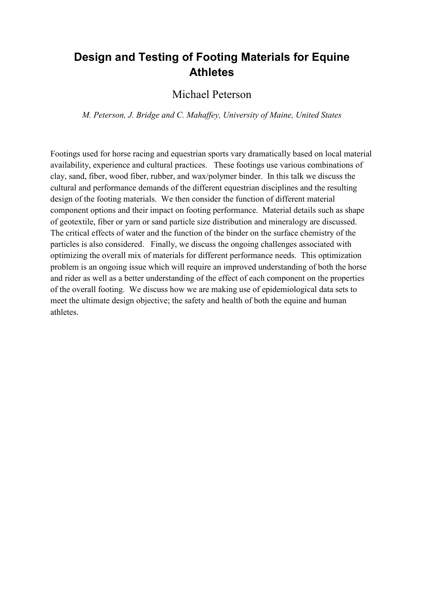# **Design and Testing of Footing Materials for Equine Athletes**

### Michael Peterson

*M. Peterson, J. Bridge and C. Mahaffey, University of Maine, United States*

Footings used for horse racing and equestrian sports vary dramatically based on local material availability, experience and cultural practices. These footings use various combinations of clay, sand, fiber, wood fiber, rubber, and wax/polymer binder. In this talk we discuss the cultural and performance demands of the different equestrian disciplines and the resulting design of the footing materials. We then consider the function of different material component options and their impact on footing performance. Material details such as shape of geotextile, fiber or yarn or sand particle size distribution and mineralogy are discussed. The critical effects of water and the function of the binder on the surface chemistry of the particles is also considered. Finally, we discuss the ongoing challenges associated with optimizing the overall mix of materials for different performance needs. This optimization problem is an ongoing issue which will require an improved understanding of both the horse and rider as well as a better understanding of the effect of each component on the properties of the overall footing. We discuss how we are making use of epidemiological data sets to meet the ultimate design objective; the safety and health of both the equine and human athletes.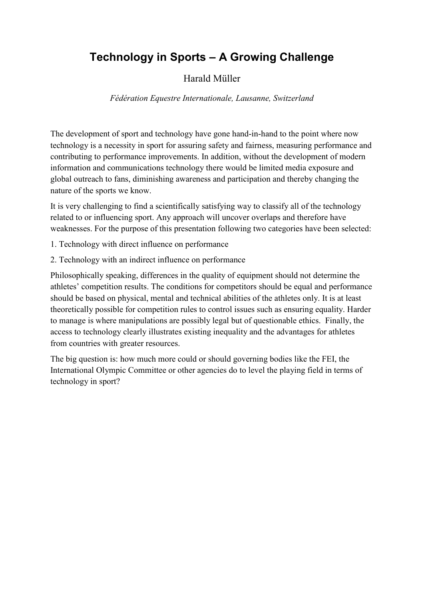# **Technology in Sports – A Growing Challenge**

### Harald Müller

### *Fédération Equestre Internationale, Lausanne, Switzerland*

The development of sport and technology have gone hand-in-hand to the point where now technology is a necessity in sport for assuring safety and fairness, measuring performance and contributing to performance improvements. In addition, without the development of modern information and communications technology there would be limited media exposure and global outreach to fans, diminishing awareness and participation and thereby changing the nature of the sports we know.

It is very challenging to find a scientifically satisfying way to classify all of the technology related to or influencing sport. Any approach will uncover overlaps and therefore have weaknesses. For the purpose of this presentation following two categories have been selected:

- 1. Technology with direct influence on performance
- 2. Technology with an indirect influence on performance

Philosophically speaking, differences in the quality of equipment should not determine the athletes' competition results. The conditions for competitors should be equal and performance should be based on physical, mental and technical abilities of the athletes only. It is at least theoretically possible for competition rules to control issues such as ensuring equality. Harder to manage is where manipulations are possibly legal but of questionable ethics. Finally, the access to technology clearly illustrates existing inequality and the advantages for athletes from countries with greater resources.

The big question is: how much more could or should governing bodies like the FEI, the International Olympic Committee or other agencies do to level the playing field in terms of technology in sport?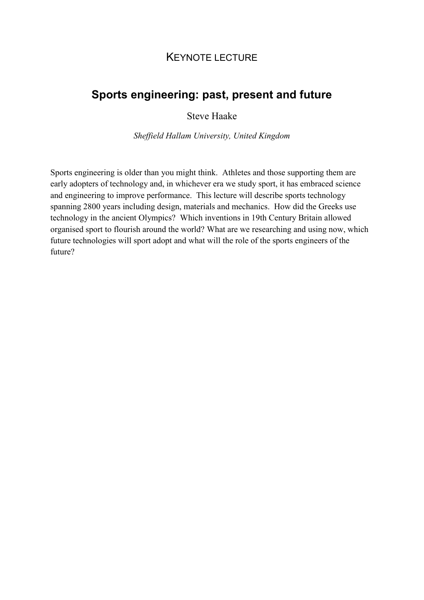### KEYNOTE LECTURE

## **Sports engineering: past, present and future**

Steve Haake

*Sheffield Hallam University, United Kingdom*

Sports engineering is older than you might think. Athletes and those supporting them are early adopters of technology and, in whichever era we study sport, it has embraced science and engineering to improve performance. This lecture will describe sports technology spanning 2800 years including design, materials and mechanics. How did the Greeks use technology in the ancient Olympics? Which inventions in 19th Century Britain allowed organised sport to flourish around the world? What are we researching and using now, which future technologies will sport adopt and what will the role of the sports engineers of the future?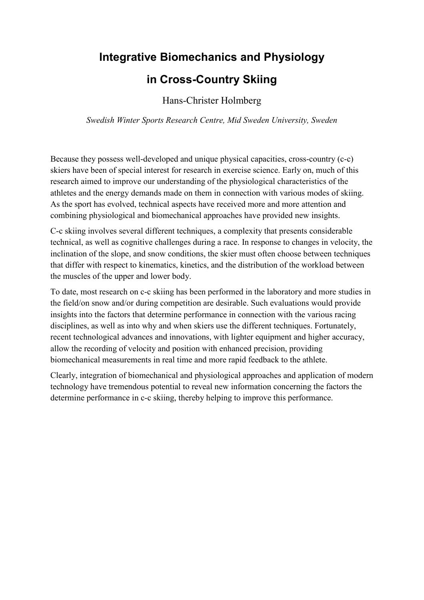# **Integrative Biomechanics and Physiology in Cross-Country Skiing**

Hans-Christer Holmberg

*Swedish Winter Sports Research Centre, Mid Sweden University, Sweden*

Because they possess well-developed and unique physical capacities, cross-country (c-c) skiers have been of special interest for research in exercise science. Early on, much of this research aimed to improve our understanding of the physiological characteristics of the athletes and the energy demands made on them in connection with various modes of skiing. As the sport has evolved, technical aspects have received more and more attention and combining physiological and biomechanical approaches have provided new insights.

C-c skiing involves several different techniques, a complexity that presents considerable technical, as well as cognitive challenges during a race. In response to changes in velocity, the inclination of the slope, and snow conditions, the skier must often choose between techniques that differ with respect to kinematics, kinetics, and the distribution of the workload between the muscles of the upper and lower body.

To date, most research on c-c skiing has been performed in the laboratory and more studies in the field/on snow and/or during competition are desirable. Such evaluations would provide insights into the factors that determine performance in connection with the various racing disciplines, as well as into why and when skiers use the different techniques. Fortunately, recent technological advances and innovations, with lighter equipment and higher accuracy, allow the recording of velocity and position with enhanced precision, providing biomechanical measurements in real time and more rapid feedback to the athlete.

Clearly, integration of biomechanical and physiological approaches and application of modern technology have tremendous potential to reveal new information concerning the factors the determine performance in c-c skiing, thereby helping to improve this performance.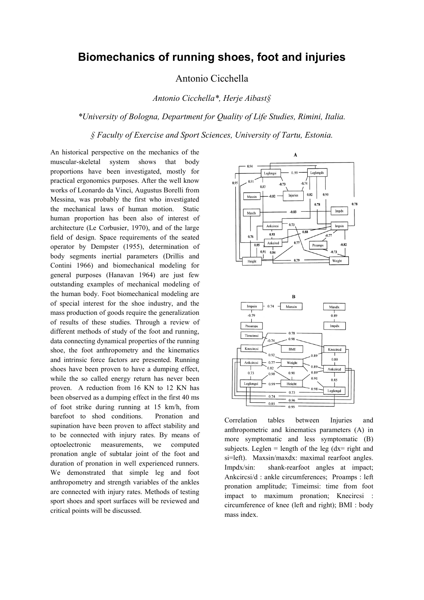### **Biomechanics of running shoes, foot and injuries**

#### Antonio Cicchella

*Antonio Cicchella\*, Herje Aibast§*

*\*University of Bologna, Department for Quality of Life Studies, Rimini, Italia.*

*§ Faculty of Exercise and Sport Sciences, University of Tartu, Estonia.*

An historical perspective on the mechanics of the muscular-skeletal system shows that body proportions have been investigated, mostly for practical ergonomics purposes. After the well know works of Leonardo da Vinci, Augustus Borelli from Messina, was probably the first who investigated the mechanical laws of human motion. Static human proportion has been also of interest of architecture (Le Corbusier, 1970), and of the large field of design. Space requirements of the seated operator by Dempster (1955), determination of body segments inertial parameters (Drillis and Contini 1966) and biomechanical modeling for general purposes (Hanavan 1964) are just few outstanding examples of mechanical modeling of the human body. Foot biomechanical modeling are of special interest for the shoe industry, and the mass production of goods require the generalization of results of these studies. Through a review of different methods of study of the foot and running, data connecting dynamical properties of the running shoe, the foot anthropometry and the kinematics and intrinsic force factors are presented. Running shoes have been proven to have a dumping effect, while the so called energy return has never been proven. A reduction from 16 KN to 12 KN has been observed as a dumping effect in the first 40 ms of foot strike during running at 15 km/h, from barefoot to shod conditions. Pronation and supination have been proven to affect stability and to be connected with injury rates. By means of optoelectronic measurements, we computed pronation angle of subtalar joint of the foot and duration of pronation in well experienced runners. We demonstrated that simple leg and foot anthropometry and strength variables of the ankles are connected with injury rates. Methods of testing sport shoes and sport surfaces will be reviewed and critical points will be discussed.



Correlation tables between Injuries and anthropometric and kinematics parameters (A) in more symptomatic and less symptomatic (B) subjects. Leglen = length of the leg  $(dx=$  right and si=left). Maxsin/maxdx: maximal rearfoot angles. Impdx/sin: shank-rearfoot angles at impact; Ankcircsi/d : ankle circumferences; Proamps : left pronation amplitude; Timeimsi: time from foot impact to maximum pronation; Knecircsi circumference of knee (left and right); BMI : body mass index.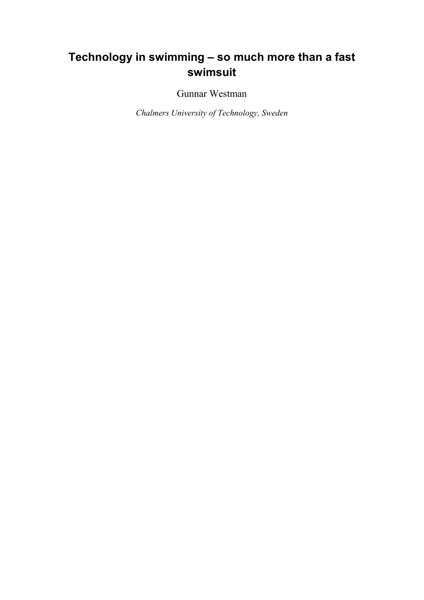# **Technology in swimming – so much more than a fast swimsuit**

Gunnar Westman

*Chalmers University of Technology, Sweden*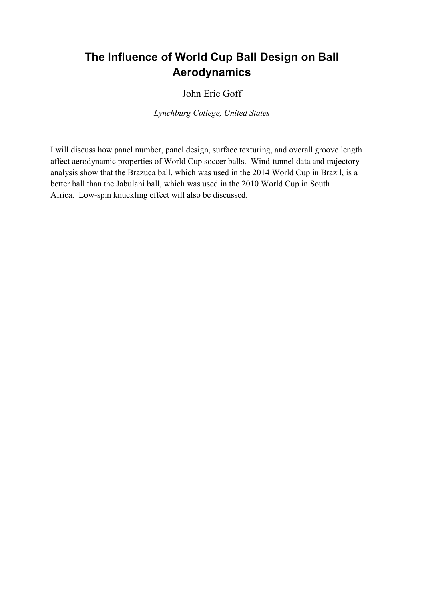# **The Influence of World Cup Ball Design on Ball Aerodynamics**

### John Eric Goff

*Lynchburg College, United States*

I will discuss how panel number, panel design, surface texturing, and overall groove length affect aerodynamic properties of World Cup soccer balls. Wind-tunnel data and trajectory analysis show that the Brazuca ball, which was used in the 2014 World Cup in Brazil, is a better ball than the Jabulani ball, which was used in the 2010 World Cup in South Africa. Low-spin knuckling effect will also be discussed.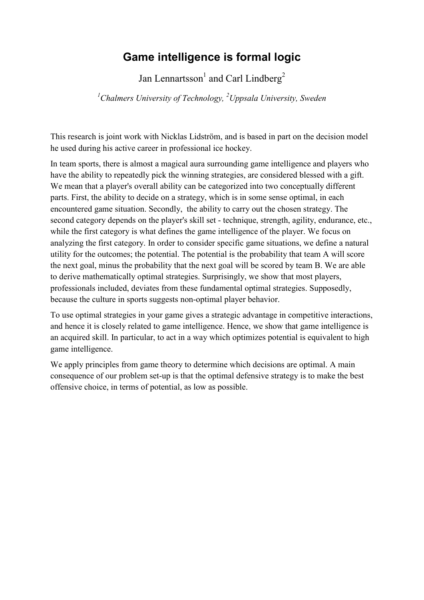# **Game intelligence is formal logic**

Jan Lennartsson<sup>1</sup> and Carl Lindberg<sup>2</sup>

*1 Chalmers University of Technology, 2 Uppsala University, Sweden*

This research is joint work with Nicklas Lidström, and is based in part on the decision model he used during his active career in professional ice hockey.

In team sports, there is almost a magical aura surrounding game intelligence and players who have the ability to repeatedly pick the winning strategies, are considered blessed with a gift. We mean that a player's overall ability can be categorized into two conceptually different parts. First, the ability to decide on a strategy, which is in some sense optimal, in each encountered game situation. Secondly, the ability to carry out the chosen strategy. The second category depends on the player's skill set - technique, strength, agility, endurance, etc., while the first category is what defines the game intelligence of the player. We focus on analyzing the first category. In order to consider specific game situations, we define a natural utility for the outcomes; the potential. The potential is the probability that team A will score the next goal, minus the probability that the next goal will be scored by team B. We are able to derive mathematically optimal strategies. Surprisingly, we show that most players, professionals included, deviates from these fundamental optimal strategies. Supposedly, because the culture in sports suggests non-optimal player behavior.

To use optimal strategies in your game gives a strategic advantage in competitive interactions, and hence it is closely related to game intelligence. Hence, we show that game intelligence is an acquired skill. In particular, to act in a way which optimizes potential is equivalent to high game intelligence.

We apply principles from game theory to determine which decisions are optimal. A main consequence of our problem set-up is that the optimal defensive strategy is to make the best offensive choice, in terms of potential, as low as possible.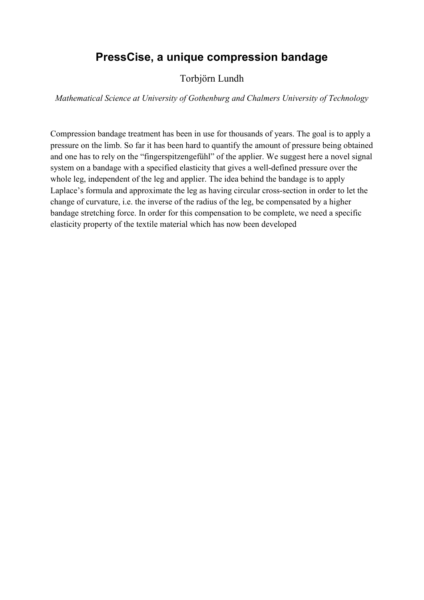## **PressCise, a unique compression bandage**

### Torbjörn Lundh

*Mathematical Science at University of Gothenburg and Chalmers University of Technology*

Compression bandage treatment has been in use for thousands of years. The goal is to apply a pressure on the limb. So far it has been hard to quantify the amount of pressure being obtained and one has to rely on the "fingerspitzengefühl" of the applier. We suggest here a novel signal system on a bandage with a specified elasticity that gives a well-defined pressure over the whole leg, independent of the leg and applier. The idea behind the bandage is to apply Laplace's formula and approximate the leg as having circular cross-section in order to let the change of curvature, i.e. the inverse of the radius of the leg, be compensated by a higher bandage stretching force. In order for this compensation to be complete, we need a specific elasticity property of the textile material which has now been developed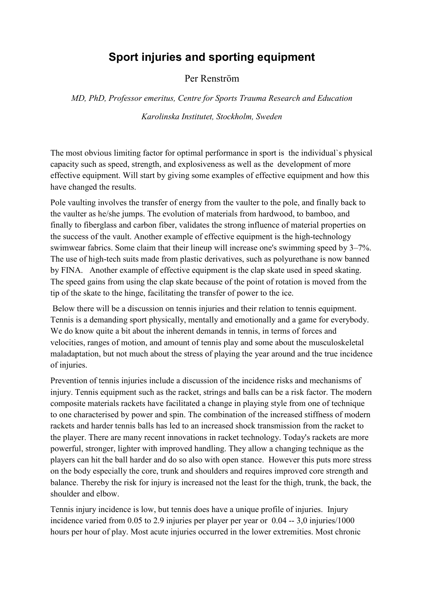# **Sport injuries and sporting equipment**

Per Renström

*MD, PhD, Professor emeritus, Centre for Sports Trauma Research and Education*

*Karolinska Institutet, Stockholm, Sweden*

The most obvious limiting factor for optimal performance in sport is the individual`s physical capacity such as speed, strength, and explosiveness as well as the development of more effective equipment. Will start by giving some examples of effective equipment and how this have changed the results.

Pole vaulting involves the transfer of energy from the vaulter to the pole, and finally back to the vaulter as he/she jumps. The evolution of materials from hardwood, to bamboo, and finally to fiberglass and carbon fiber, validates the strong influence of material properties on the success of the vault. Another example of effective equipment is the high-technology swimwear fabrics. Some claim that their lineup will increase one's swimming speed by 3–7%. The use of high-tech suits made from plastic derivatives, such as polyurethane is now banned by FINA. Another example of effective equipment is the clap skate used in speed skating. The speed gains from using the clap skate because of the point of rotation is moved from the tip of the skate to the hinge, facilitating the transfer of power to the ice.

Below there will be a discussion on tennis injuries and their relation to tennis equipment. Tennis is a demanding sport physically, mentally and emotionally and a game for everybody. We do know quite a bit about the inherent demands in tennis, in terms of forces and velocities, ranges of motion, and amount of tennis play and some about the musculoskeletal maladaptation, but not much about the stress of playing the year around and the true incidence of injuries.

Prevention of tennis injuries include a discussion of the incidence risks and mechanisms of injury. Tennis equipment such as the racket, strings and balls can be a risk factor. The modern composite materials rackets have facilitated a change in playing style from one of technique to one characterised by power and spin. The combination of the increased stiffness of modern rackets and harder tennis balls has led to an increased shock transmission from the racket to the player. There are many recent innovations in racket technology. Today's rackets are more powerful, stronger, lighter with improved handling. They allow a changing technique as the players can hit the ball harder and do so also with open stance. However this puts more stress on the body especially the core, trunk and shoulders and requires improved core strength and balance. Thereby the risk for injury is increased not the least for the thigh, trunk, the back, the shoulder and elbow.

Tennis injury incidence is low, but tennis does have a unique profile of injuries. Injury incidence varied from 0.05 to 2.9 injuries per player per year or 0.04 -- 3,0 injuries/1000 hours per hour of play. Most acute injuries occurred in the lower extremities. Most chronic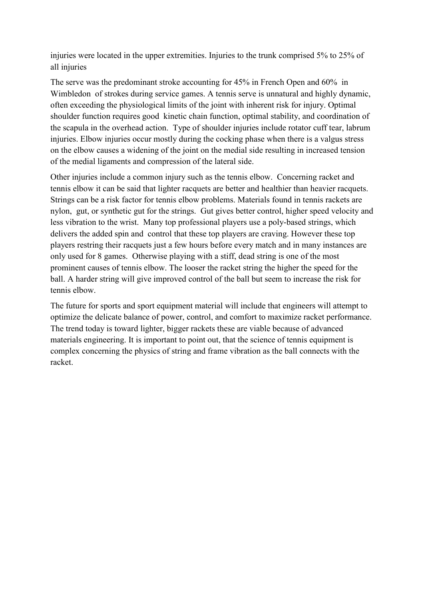injuries were located in the upper extremities. Injuries to the trunk comprised 5% to 25% of all injuries

The serve was the predominant stroke accounting for 45% in French Open and 60% in Wimbledon of strokes during service games. A tennis serve is unnatural and highly dynamic, often exceeding the physiological limits of the joint with inherent risk for injury. Optimal shoulder function requires good kinetic chain function, optimal stability, and coordination of the scapula in the overhead action. Type of shoulder injuries include rotator cuff tear, labrum injuries. Elbow injuries occur mostly during the cocking phase when there is a valgus stress on the elbow causes a widening of the joint on the medial side resulting in increased tension of the medial ligaments and compression of the lateral side.

Other injuries include a common injury such as the tennis elbow. Concerning racket and tennis elbow it can be said that lighter racquets are better and healthier than heavier racquets. Strings can be a risk factor for tennis elbow problems. Materials found in tennis rackets are nylon, gut, or synthetic gut for the strings. Gut gives better control, higher speed velocity and less vibration to the wrist. Many top professional players use a poly-based strings, which delivers the added spin and control that these top players are craving. However these top players restring their racquets just a few hours before every match and in many instances are only used for 8 games. Otherwise playing with a stiff, dead string is one of the most prominent causes of tennis elbow. The looser the racket string the higher the speed for the ball. A harder string will give improved control of the ball but seem to increase the risk for tennis elbow.

The future for sports and sport equipment material will include that engineers will attempt to optimize the delicate balance of power, control, and comfort to maximize racket performance. The trend today is toward lighter, bigger rackets these are viable because of advanced materials engineering. It is important to point out, that the science of tennis equipment is complex concerning the physics of string and frame vibration as the ball connects with the racket.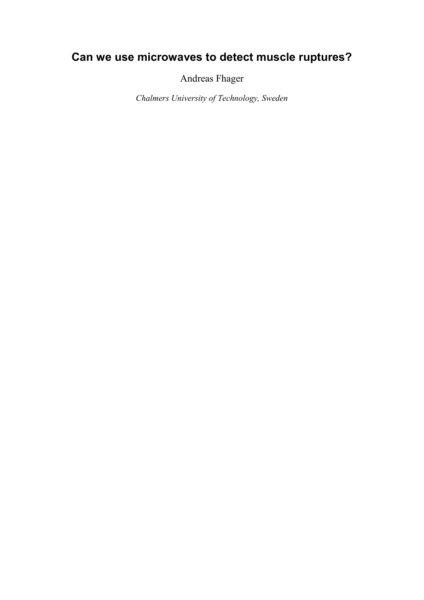# **Can we use microwaves to detect muscle ruptures?**

Andreas Fhager

*Chalmers University of Technology, Sweden*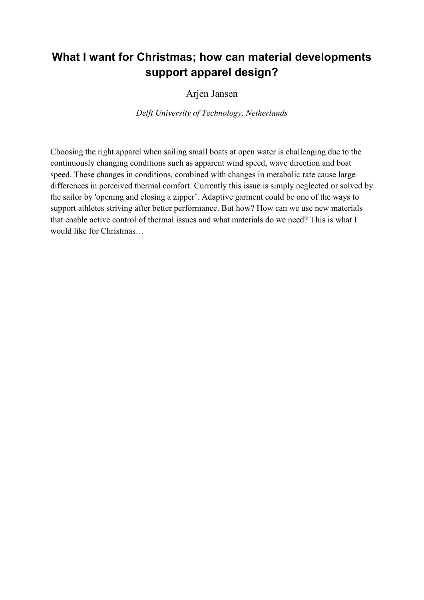# **What I want for Christmas; how can material developments support apparel design?**

Arjen Jansen

*Delft University of Technology, Netherlands*

Choosing the right apparel when sailing small boats at open water is challenging due to the continuously changing conditions such as apparent wind speed, wave direction and boat speed. These changes in conditions, combined with changes in metabolic rate cause large differences in perceived thermal comfort. Currently this issue is simply neglected or solved by the sailor by 'opening and closing a zipper'. Adaptive garment could be one of the ways to support athletes striving after better performance. But how? How can we use new materials that enable active control of thermal issues and what materials do we need? This is what I would like for Christmas…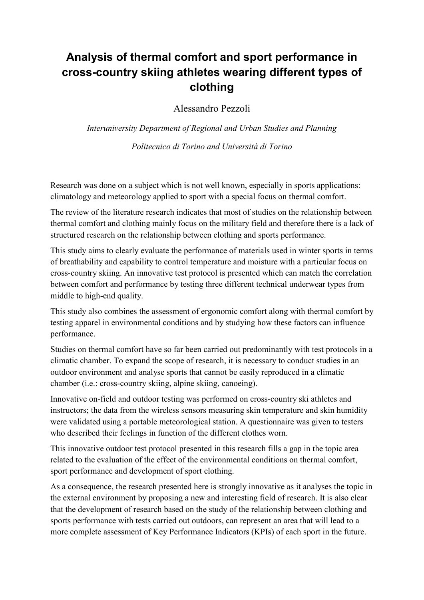# **Analysis of thermal comfort and sport performance in cross-country skiing athletes wearing different types of clothing**

Alessandro Pezzoli

*Interuniversity Department of Regional and Urban Studies and Planning*

*Politecnico di Torino and Università di Torino*

Research was done on a subject which is not well known, especially in sports applications: climatology and meteorology applied to sport with a special focus on thermal comfort.

The review of the literature research indicates that most of studies on the relationship between thermal comfort and clothing mainly focus on the military field and therefore there is a lack of structured research on the relationship between clothing and sports performance.

This study aims to clearly evaluate the performance of materials used in winter sports in terms of breathability and capability to control temperature and moisture with a particular focus on cross-country skiing. An innovative test protocol is presented which can match the correlation between comfort and performance by testing three different technical underwear types from middle to high-end quality.

This study also combines the assessment of ergonomic comfort along with thermal comfort by testing apparel in environmental conditions and by studying how these factors can influence performance.

Studies on thermal comfort have so far been carried out predominantly with test protocols in a climatic chamber. To expand the scope of research, it is necessary to conduct studies in an outdoor environment and analyse sports that cannot be easily reproduced in a climatic chamber (i.e.: cross-country skiing, alpine skiing, canoeing).

Innovative on-field and outdoor testing was performed on cross-country ski athletes and instructors; the data from the wireless sensors measuring skin temperature and skin humidity were validated using a portable meteorological station. A questionnaire was given to testers who described their feelings in function of the different clothes worn.

This innovative outdoor test protocol presented in this research fills a gap in the topic area related to the evaluation of the effect of the environmental conditions on thermal comfort, sport performance and development of sport clothing.

As a consequence, the research presented here is strongly innovative as it analyses the topic in the external environment by proposing a new and interesting field of research. It is also clear that the development of research based on the study of the relationship between clothing and sports performance with tests carried out outdoors, can represent an area that will lead to a more complete assessment of Key Performance Indicators (KPIs) of each sport in the future.